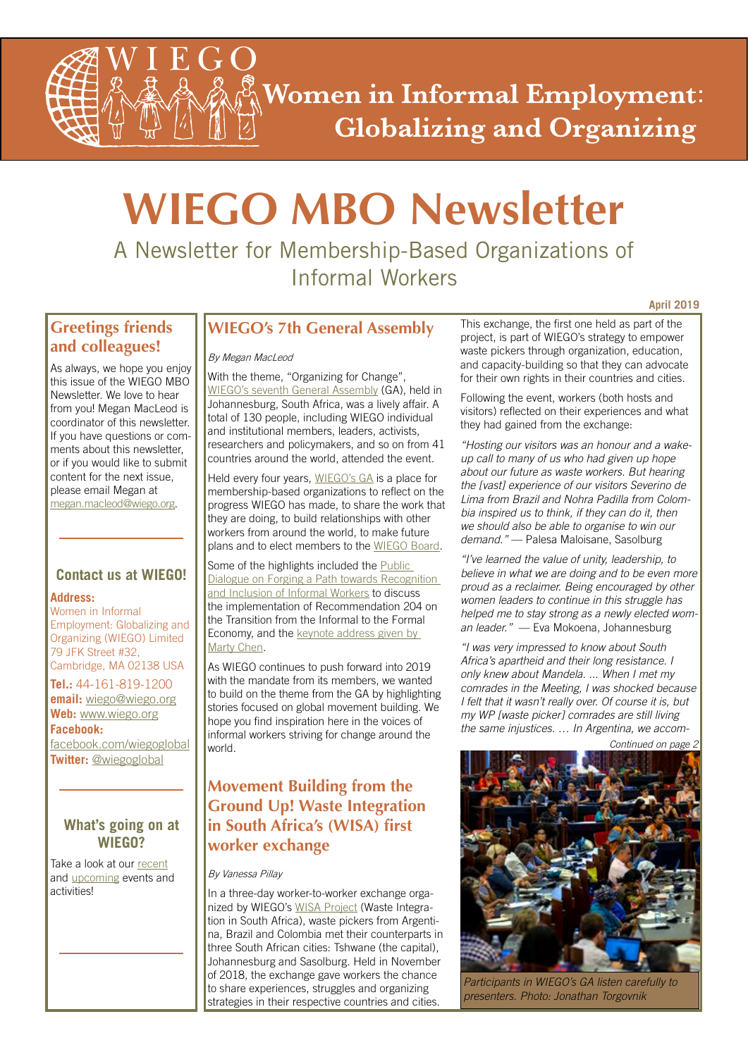**Women in Informal Employment: Globalizing and Organizing** 

# **WIEGO MBO Newsletter**

A Newsletter for Membership-Based Organizations of Informal Workers

## **Greetings friends and colleagues!**

As always, we hope you enjoy this issue of the WIEGO MBO Newsletter. We love to hear from you! Megan MacLeod is coordinator of this newsletter. If you have questions or comments about this newsletter, or if you would like to submit content for the next issue, please email Megan at megan.macleod@wiego.org.

## **Contact us at WIEGO!**

## **Address:**

Women in Informal Employment: Globalizing and Organizing (WIEGO) Limited 79 JFK Street #32, Cambridge, MA 02138 USA

**Tel.:** 44-161-819-1200 **email:** wiego@wiego.org **Web:** www.wiego.org **Facebook:**

<facebook.com/wiegoglobal> **Twitter:** [@wiegoglobal](https://twitter.com/WIEGOGLOBAL)

## **What's going on at WIEGO?**

Take a look at our [recent](http://www.wiego.org/news-events/archive) and [upcoming](http://www.wiego.org/events) events and activities!

## **WIEGO's 7th General Assembly**

## By Megan MacLeod

With the theme, "Organizing for Change", [WIEGO's seventh General Assembly](http://www.wiego.org/ga/wiego-general-assembly-2018) (GA), held in Johannesburg, South Africa, was a lively affair. A total of 130 people, including WIEGO individual and institutional members, leaders, activists, researchers and policymakers, and so on from 41 countries around the world, attended the event.

Held every four years, [WIEGO's GA](http://www.wiego.org/ga) is a place for membership-based organizations to reflect on the progress WIEGO has made, to share the work that they are doing, to build relationships with other workers from around the world, to make future plans and to elect members to the [WIEGO Board.](http://www.wiego.org/wiego/wiego-board)

Some of the highlights included the Public [Dialogue on Forging a Path towards Recognition](http://www.wiego.org/ga/special-event-jobs-formalizing-informal-economy) and Inclusion of Informal Workers to discuss the implementation of Recommendation 204 on the Transition from the Informal to the Formal [Economy, and the keynote address given by](https://soundcloud.com/wiego/marty-chen-keynote-ga2018-nov14)  Marty Chen.

As WIEGO continues to push forward into 2019 with the mandate from its members, we wanted to build on the theme from the GA by highlighting stories focused on global movement building. We hope you find inspiration here in the voices of informal workers striving for change around the world.

## **Movement Building from the Ground Up! Waste Integration in South Africa's (WISA) first worker exchange**

### By Vanessa Pillay

In a three-day worker-to-worker exchange organized by WIEGO's [WISA Project](http://www.wiego.org/wiego/waste-integration-south-africa-wisa) (Waste Integration in South Africa), waste pickers from Argentina, Brazil and Colombia met their counterparts in three South African cities: Tshwane (the capital), Johannesburg and Sasolburg. Held in November of 2018, the exchange gave workers the chance to share experiences, struggles and organizing strategies in their respective countries and cities.

This exchange, the first one held as part of the project, is part of WIEGO's strategy to empower waste pickers through organization, education, and capacity-building so that they can advocate for their own rights in their countries and cities.

**April 2019**

Following the event, workers (both hosts and visitors) reflected on their experiences and what they had gained from the exchange:

*"Hosting our visitors was an honour and a wakeup call to many of us who had given up hope about our future as waste workers. But hearing the [vast] experience of our visitors Severino de Lima from Brazil and Nohra Padilla from Colombia inspired us to think, if they can do it, then we should also be able to organise to win our demand."* — Palesa Maloisane, Sasolburg

*"I've learned the value of unity, leadership, to believe in what we are doing and to be even more proud as a reclaimer. Being encouraged by other women leaders to continue in this struggle has helped me to stay strong as a newly elected woman leader."* — Eva Mokoena, Johannesburg

*"I was very impressed to know about South Africa's apartheid and their long resistance. I only knew about Mandela. ... When I met my comrades in the Meeting, I was shocked because I felt that it wasn't really over. Of course it is, but my WP [waste picker] comrades are still living the same injustices. … In Argentina, we accom-*

*Continued on page 2*



*Participants in WIEGO's GA listen carefully to presenters. Photo: Jonathan Torgovnik*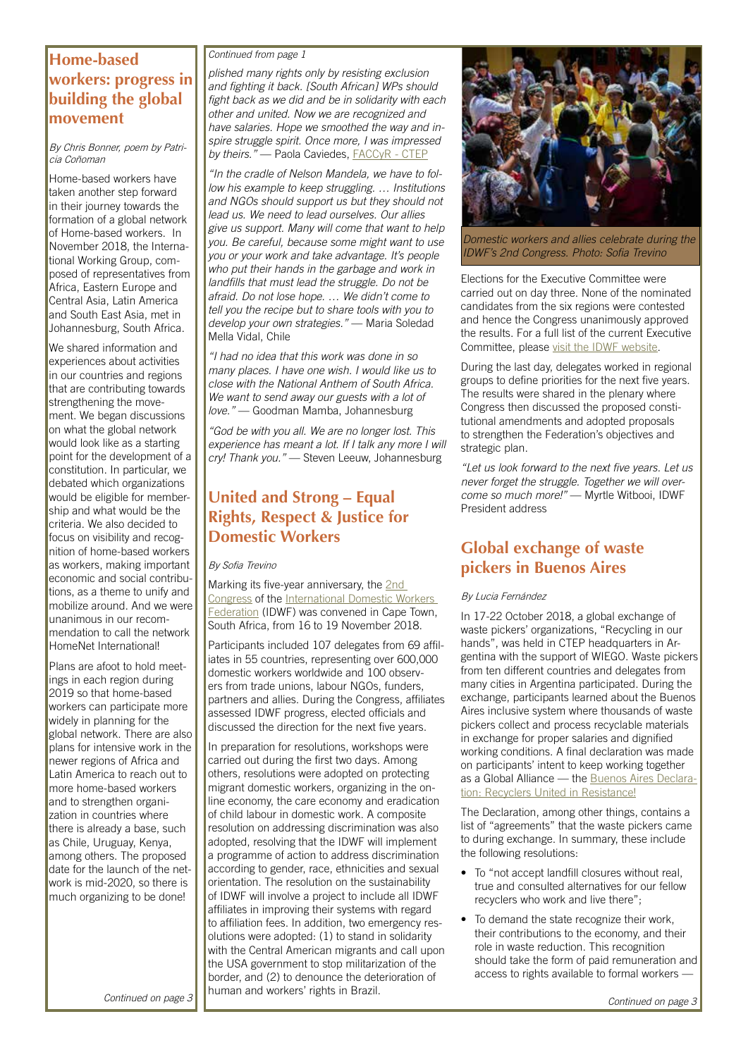## **Home-based workers: progress in building the global movement**

By Chris Bonner, poem by Patricia Coñoman

Home-based workers have taken another step forward in their journey towards the formation of a global network of Home-based workers. In November 2018, the International Working Group, composed of representatives from Africa, Eastern Europe and Central Asia, Latin America and South East Asia, met in Johannesburg, South Africa.

We shared information and experiences about activities in our countries and regions that are contributing towards strengthening the movement. We began discussions on what the global network would look like as a starting point for the development of a constitution. In particular, we debated which organizations would be eligible for membership and what would be the criteria. We also decided to focus on visibility and recognition of home-based workers as workers, making important economic and social contributions, as a theme to unify and mobilize around. And we were unanimous in our recommendation to call the network HomeNet International!

Plans are afoot to hold meetings in each region during 2019 so that home-based workers can participate more widely in planning for the global network. There are also plans for intensive work in the newer regions of Africa and Latin America to reach out to more home-based workers and to strengthen organization in countries where there is already a base, such as Chile, Uruguay, Kenya, among others. The proposed date for the launch of the network is mid-2020, so there is much organizing to be done!

*Continued from page 1*

*plished many rights only by resisting exclusion and fighting it back. [South African] WPs should fight back as we did and be in solidarity with each other and united. Now we are recognized and have salaries. Hope we smoothed the way and inspire struggle spirit. Once more, I was impressed by theirs."* — Paola Caviedes, [FACCyR - CTEP](http://faccyr.org.ar/ctep/)

*"In the cradle of Nelson Mandela, we have to follow his example to keep struggling. … Institutions and NGOs should support us but they should not lead us. We need to lead ourselves. Our allies give us support. Many will come that want to help you. Be careful, because some might want to use you or your work and take advantage. It's people who put their hands in the garbage and work in landfills that must lead the struggle. Do not be afraid. Do not lose hope. … We didn't come to tell you the recipe but to share tools with you to develop your own strategies."* — Maria Soledad Mella Vidal, Chile

*"I had no idea that this work was done in so many places. I have one wish. I would like us to close with the National Anthem of South Africa. We want to send away our guests with a lot of love."* — Goodman Mamba, Johannesburg

*"God be with you all. We are no longer lost. This experience has meant a lot. If I talk any more I will cry! Thank you."* — Steven Leeuw, Johannesburg

## **United and Strong – Equal Rights, Respect & Justice for Domestic Workers**

#### By Sofia Trevino

[Marking its five-year anniversary, the 2nd](http://idwfed.org/en/2018-congress/global-introduction-to-the-idwf-2nd-congress) [Congress of the International Domestic Workers](http://idwfed.org/en) **Federation (IDWF) was convened in Cape Town,** South Africa, from 16 to 19 November 2018.

Participants included 107 delegates from 69 affiliates in 55 countries, representing over 600,000 domestic workers worldwide and 100 observers from trade unions, labour NGOs, funders, partners and allies. During the Congress, affiliates assessed IDWF progress, elected officials and discussed the direction for the next five years.

In preparation for resolutions, workshops were carried out during the first two days. Among others, resolutions were adopted on protecting migrant domestic workers, organizing in the online economy, the care economy and eradication of child labour in domestic work. A composite resolution on addressing discrimination was also adopted, resolving that the IDWF will implement a programme of action to address discrimination according to gender, race, ethnicities and sexual orientation. The resolution on the sustainability of IDWF will involve a project to include all IDWF affiliates in improving their systems with regard to affiliation fees. In addition, two emergency resolutions were adopted: (1) to stand in solidarity with the Central American migrants and call upon the USA government to stop militarization of the border, and (2) to denounce the deterioration of human and workers' rights in Brazil.



*Domestic workers and allies celebrate during the IDWF's 2nd Congress. Photo: Sofia Trevino*

Elections for the Executive Committee were carried out on day three. None of the nominated candidates from the six regions were contested and hence the Congress unanimously approved the results. For a full list of the current Executive Committee, please [visit the IDWF website](http://idwfed.org/en/about-us-1/idwf-executive-committee-2018-2023).

During the last day, delegates worked in regional groups to define priorities for the next five years. The results were shared in the plenary where Congress then discussed the proposed constitutional amendments and adopted proposals to strengthen the Federation's objectives and strategic plan.

*"Let us look forward to the next five years. Let us never forget the struggle. Together we will overcome so much more!"* — Myrtle Witbooi, IDWF President address

## **Global exchange of waste pickers in Buenos Aires**

#### By Lucia Fernández

In 17-22 October 2018, a global exchange of waste pickers' organizations, "Recycling in our hands", was held in CTEP headquarters in Argentina with the support of WIEGO. Waste pickers from ten different countries and delegates from many cities in Argentina participated. During the exchange, participants learned about the Buenos Aires inclusive system where thousands of waste pickers collect and process recyclable materials in exchange for proper salaries and dignified working conditions. A final declaration was made on participants' intent to keep working together [as a Global Alliance — the Buenos Aires Declara](https://globalrec.org/wp-content/uploads/2018/11/ManifiestoENG-1.pdf)tion: Recyclers United in Resistance!

The Declaration, among other things, contains a list of "agreements" that the waste pickers came to during exchange. In summary, these include the following resolutions:

- To "not accept landfill closures without real, true and consulted alternatives for our fellow recyclers who work and live there";
- To demand the state recognize their work, their contributions to the economy, and their role in waste reduction. This recognition should take the form of paid remuneration and access to rights available to formal workers —